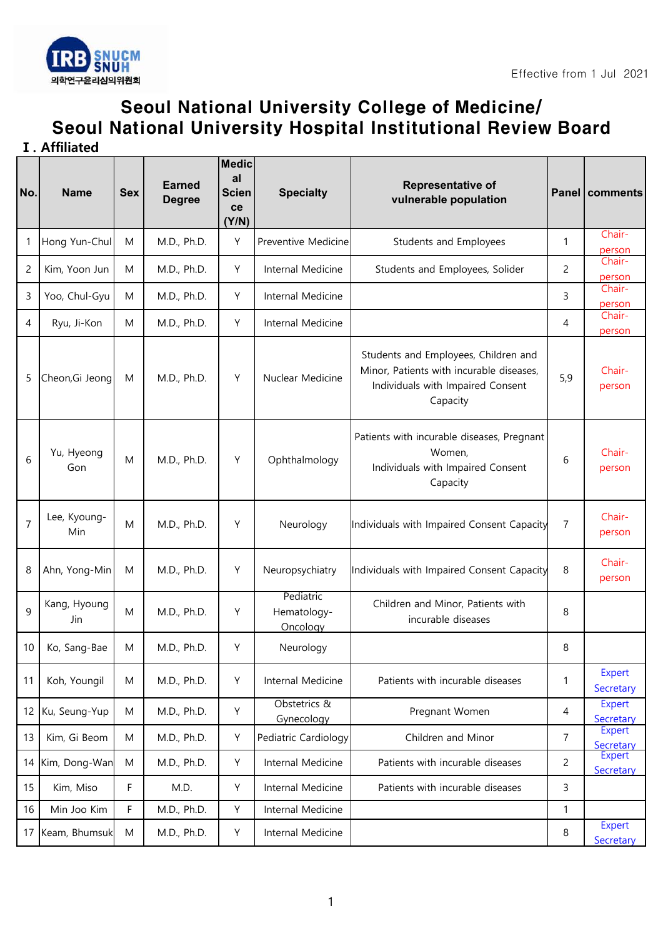

## Seoul National University College of Medicine/ Seoul National University Hospital Institutional Review Board

**Ⅰ. Affiliated** 

| No.            | <b>Name</b>         | <b>Sex</b> | <b>Earned</b><br><b>Degree</b> | <b>Medic</b><br>al<br><b>Scien</b><br>ce<br>(Y/N) | <b>Specialty</b>                     | <b>Representative of</b><br>vulnerable population                                                                                 |                | Panel   comments           |
|----------------|---------------------|------------|--------------------------------|---------------------------------------------------|--------------------------------------|-----------------------------------------------------------------------------------------------------------------------------------|----------------|----------------------------|
| -1             | Hong Yun-Chul       | M          | M.D., Ph.D.                    | Y                                                 | Preventive Medicine                  | Students and Employees                                                                                                            | 1              | Chair-<br>person           |
| $\overline{c}$ | Kim, Yoon Jun       | M          | M.D., Ph.D.                    | Υ                                                 | Internal Medicine                    | Students and Employees, Solider                                                                                                   | $\overline{c}$ | Chair-<br>person           |
| 3              | Yoo, Chul-Gyu       | M          | M.D., Ph.D.                    | Υ                                                 | Internal Medicine                    |                                                                                                                                   | 3              | Chair-<br>person           |
| 4              | Ryu, Ji-Kon         | M          | M.D., Ph.D.                    | Υ                                                 | Internal Medicine                    |                                                                                                                                   | 4              | Chair-<br>person           |
| 5              | Cheon, Gi Jeong     | M          | M.D., Ph.D.                    | Υ                                                 | Nuclear Medicine                     | Students and Employees, Children and<br>Minor, Patients with incurable diseases,<br>Individuals with Impaired Consent<br>Capacity | 5,9            | Chair-<br>person           |
| 6              | Yu, Hyeong<br>Gon   | M          | M.D., Ph.D.                    | Y                                                 | Ophthalmology                        | Patients with incurable diseases, Pregnant<br>Women,<br>Individuals with Impaired Consent<br>Capacity                             | 6              | Chair-<br>person           |
| $\overline{7}$ | Lee, Kyoung-<br>Min | M          | M.D., Ph.D.                    | Y                                                 | Neurology                            | Individuals with Impaired Consent Capacity                                                                                        | $\overline{7}$ | Chair-<br>person           |
| 8              | Ahn, Yong-Min       | M          | M.D., Ph.D.                    | Y                                                 | Neuropsychiatry                      | Individuals with Impaired Consent Capacity                                                                                        | 8              | Chair-<br>person           |
| 9              | Kang, Hyoung<br>Jin | M          | M.D., Ph.D.                    | Υ                                                 | Pediatric<br>Hematology-<br>Oncology | Children and Minor, Patients with<br>incurable diseases                                                                           | 8              |                            |
| 10             | Ko, Sang-Bae        | M          | M.D., Ph.D.                    | Y                                                 | Neurology                            |                                                                                                                                   | 8              |                            |
| 11             | Koh, Youngil        | M          | M.D., Ph.D.                    | Υ                                                 | Internal Medicine                    | Patients with incurable diseases                                                                                                  | 1              | <b>Expert</b><br>Secretary |
| 12             | Ku, Seung-Yup       | M          | M.D., Ph.D.                    | Υ                                                 | Obstetrics &<br>Gynecology           | Pregnant Women                                                                                                                    | 4              | <b>Expert</b><br>Secretary |
| 13             | Kim, Gi Beom        | M          | M.D., Ph.D.                    | Υ                                                 | Pediatric Cardiology                 | Children and Minor                                                                                                                | $\overline{7}$ | <b>Expert</b><br>Secretary |
| 14             | Kim, Dong-Wan       | ${\sf M}$  | M.D., Ph.D.                    | Υ                                                 | Internal Medicine                    | Patients with incurable diseases                                                                                                  | $\overline{2}$ | <b>Expert</b><br>Secretary |
| 15             | Kim, Miso           | F          | M.D.                           | Υ                                                 | Internal Medicine                    | Patients with incurable diseases                                                                                                  | 3              |                            |
| 16             | Min Joo Kim         | F          | M.D., Ph.D.                    | Υ                                                 | Internal Medicine                    |                                                                                                                                   | 1              |                            |
|                | 17 Keam, Bhumsuk    | M          | M.D., Ph.D.                    | Υ                                                 | Internal Medicine                    |                                                                                                                                   | 8              | Expert<br>Secretary        |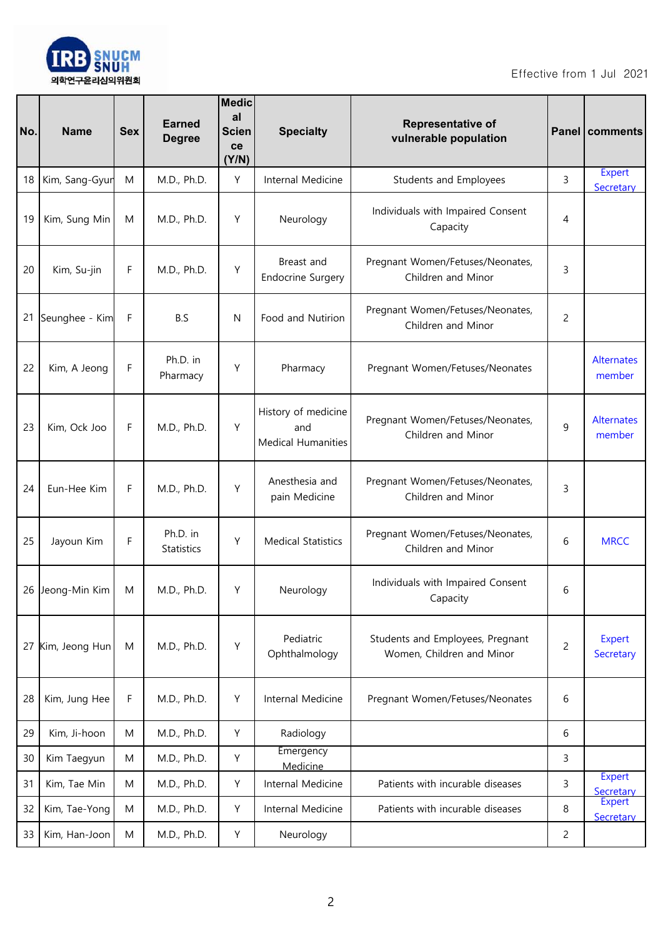

| No. | <b>Name</b>      | <b>Sex</b> | <b>Earned</b><br><b>Degree</b> | <b>Medic</b><br>al<br><b>Scien</b><br>ce<br>(Y/N) | <b>Specialty</b>                                        | <b>Representative of</b><br>vulnerable population             |                | <b>Panel   comments</b>     |
|-----|------------------|------------|--------------------------------|---------------------------------------------------|---------------------------------------------------------|---------------------------------------------------------------|----------------|-----------------------------|
| 18  | Kim, Sang-Gyur   | M          | M.D., Ph.D.                    | Υ                                                 | Internal Medicine                                       | Students and Employees                                        | 3              | <b>Expert</b><br>Secretary  |
| 19  | Kim, Sung Min    | M          | M.D., Ph.D.                    | Υ                                                 | Neurology                                               | Individuals with Impaired Consent<br>Capacity                 | 4              |                             |
| 20  | Kim, Su-jin      | F          | M.D., Ph.D.                    | Υ                                                 | Breast and<br><b>Endocrine Surgery</b>                  | Pregnant Women/Fetuses/Neonates,<br>Children and Minor        | 3              |                             |
| 21  | Seunghee - Kim   | F          | B.S                            | N                                                 | Food and Nutirion                                       | Pregnant Women/Fetuses/Neonates,<br>Children and Minor        | $\overline{c}$ |                             |
| 22  | Kim, A Jeong     | F          | Ph.D. in<br>Pharmacy           | Υ                                                 | Pharmacy                                                | Pregnant Women/Fetuses/Neonates                               |                | <b>Alternates</b><br>member |
| 23  | Kim, Ock Joo     | F          | M.D., Ph.D.                    | Y                                                 | History of medicine<br>and<br><b>Medical Humanities</b> | Pregnant Women/Fetuses/Neonates,<br>Children and Minor        | 9              | <b>Alternates</b><br>member |
| 24  | Eun-Hee Kim      | F          | M.D., Ph.D.                    | Y                                                 | Anesthesia and<br>pain Medicine                         | Pregnant Women/Fetuses/Neonates,<br>Children and Minor        | 3              |                             |
| 25  | Jayoun Kim       | F          | Ph.D. in<br>Statistics         | Y                                                 | <b>Medical Statistics</b>                               | Pregnant Women/Fetuses/Neonates,<br>Children and Minor        | 6              | <b>MRCC</b>                 |
|     | 26 Jeong-Min Kim | M          | M.D., Ph.D.                    | Υ                                                 | Neurology                                               | Individuals with Impaired Consent<br>Capacity                 | 6              |                             |
| 27  | Kim, Jeong Hun   | M          | M.D., Ph.D.                    | Υ                                                 | Pediatric<br>Ophthalmology                              | Students and Employees, Pregnant<br>Women, Children and Minor | $\overline{c}$ | Expert<br>Secretary         |
| 28  | Kim, Jung Hee    | F          | M.D., Ph.D.                    | Υ                                                 | Internal Medicine                                       | Pregnant Women/Fetuses/Neonates                               | 6              |                             |
| 29  | Kim, Ji-hoon     | M          | M.D., Ph.D.                    | Υ                                                 | Radiology                                               |                                                               | 6              |                             |
| 30  | Kim Taegyun      | M          | M.D., Ph.D.                    | Υ                                                 | Emergency<br>Medicine                                   |                                                               | 3              |                             |
| 31  | Kim, Tae Min     | M          | M.D., Ph.D.                    | Y                                                 | Internal Medicine                                       | Patients with incurable diseases                              | 3              | <b>Expert</b><br>Secretary  |
| 32  | Kim, Tae-Yong    | M          | M.D., Ph.D.                    | Υ                                                 | Internal Medicine                                       | Patients with incurable diseases                              | 8              | <b>Expert</b><br>Secretary  |
| 33  | Kim, Han-Joon    | M          | M.D., Ph.D.                    | Υ                                                 | Neurology                                               |                                                               | $\overline{c}$ |                             |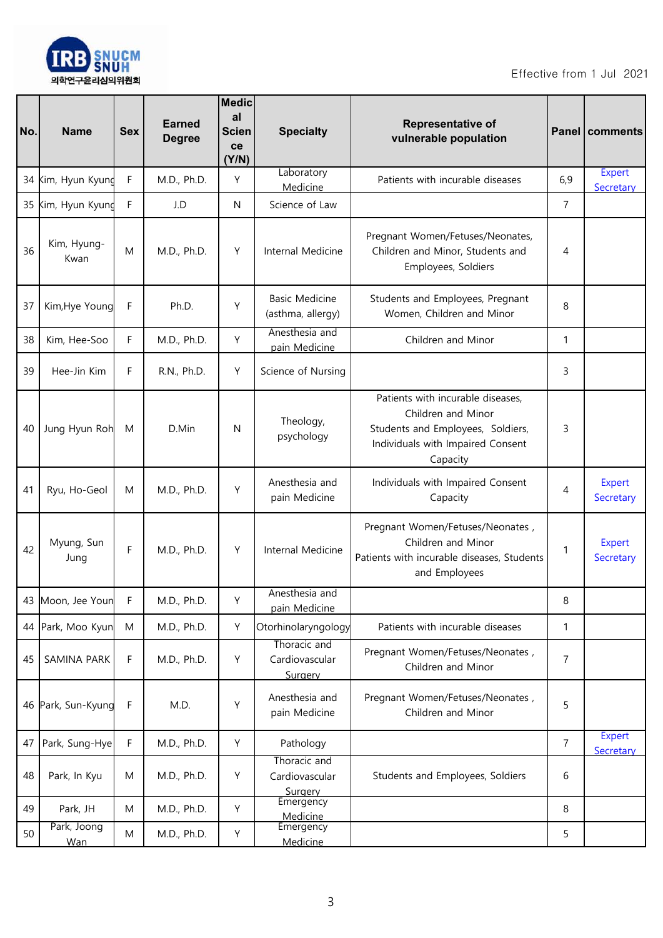

| No. | <b>Name</b>               | <b>Sex</b> | <b>Earned</b><br><b>Degree</b> | <b>Medic</b><br>al<br><b>Scien</b><br>ce<br>(Y/N) | <b>Specialty</b>                           | <b>Representative of</b><br>vulnerable population                                                                                             |                | <b>Panel   comments</b>    |
|-----|---------------------------|------------|--------------------------------|---------------------------------------------------|--------------------------------------------|-----------------------------------------------------------------------------------------------------------------------------------------------|----------------|----------------------------|
| 34  | Kim, Hyun Kyunc           | F          | M.D., Ph.D.                    | Y                                                 | Laboratory<br>Medicine                     | Patients with incurable diseases                                                                                                              | 6,9            | <b>Expert</b><br>Secretary |
| 35  | Kim, Hyun Kyung           | F          | J.D                            | N                                                 | Science of Law                             |                                                                                                                                               | $\overline{7}$ |                            |
| 36  | Kim, Hyung-<br>Kwan       | M          | M.D., Ph.D.                    | Y                                                 | Internal Medicine                          | Pregnant Women/Fetuses/Neonates,<br>Children and Minor, Students and<br>Employees, Soldiers                                                   | 4              |                            |
| 37  | Kim, Hye Young            | F          | Ph.D.                          | Y                                                 | <b>Basic Medicine</b><br>(asthma, allergy) | Students and Employees, Pregnant<br>Women, Children and Minor                                                                                 | 8              |                            |
| 38  | Kim, Hee-Soo              | F          | M.D., Ph.D.                    | Y                                                 | Anesthesia and<br>pain Medicine            | Children and Minor                                                                                                                            | 1              |                            |
| 39  | Hee-Jin Kim               | F          | R.N., Ph.D.                    | Y                                                 | Science of Nursing                         |                                                                                                                                               | 3              |                            |
| 40  | Jung Hyun Roh             | M          | D.Min                          | N                                                 | Theology,<br>psychology                    | Patients with incurable diseases,<br>Children and Minor<br>Students and Employees, Soldiers,<br>Individuals with Impaired Consent<br>Capacity | 3              |                            |
| 41  | Ryu, Ho-Geol              | M          | M.D., Ph.D.                    | Y                                                 | Anesthesia and<br>pain Medicine            | Individuals with Impaired Consent<br>Capacity                                                                                                 | 4              | Expert<br>Secretary        |
| 42  | Myung, Sun<br>Jung        | F          | M.D., Ph.D.                    | Y                                                 | Internal Medicine                          | Pregnant Women/Fetuses/Neonates,<br>Children and Minor<br>Patients with incurable diseases, Students<br>and Employees                         | 1              | Expert<br>Secretary        |
|     | 43 Moon, Jee Youn         | F          | M.D., Ph.D.                    | Υ                                                 | Anesthesia and<br>pain Medicine            |                                                                                                                                               | 8              |                            |
| 44  | Park, Moo Kyun            | M          | M.D., Ph.D.                    | Υ                                                 | Otorhinolaryngology                        | Patients with incurable diseases                                                                                                              | 1              |                            |
| 45  | SAMINA PARK               | F          | M.D., Ph.D.                    | Υ                                                 | Thoracic and<br>Cardiovascular<br>Surgery  | Pregnant Women/Fetuses/Neonates,<br>Children and Minor                                                                                        | 7              |                            |
| 46  | Park, Sun-Kyung           | F          | M.D.                           | Υ                                                 | Anesthesia and<br>pain Medicine            | Pregnant Women/Fetuses/Neonates,<br>Children and Minor                                                                                        | 5              |                            |
| 47  | Park, Sung-Hye            | F          | M.D., Ph.D.                    | Υ                                                 | Pathology                                  |                                                                                                                                               | $\overline{7}$ | <b>Expert</b><br>Secretary |
| 48  | Park, In Kyu              | M          | M.D., Ph.D.                    | Υ                                                 | Thoracic and<br>Cardiovascular<br>Surgery  | Students and Employees, Soldiers                                                                                                              | 6              |                            |
| 49  | Park, JH                  | M          | M.D., Ph.D.                    | Υ                                                 | Emergency<br>Medicine                      |                                                                                                                                               | 8              |                            |
| 50  | Park, Joong<br><b>Wan</b> | M          | M.D., Ph.D.                    | Υ                                                 | Emergency<br>Medicine                      |                                                                                                                                               | 5              |                            |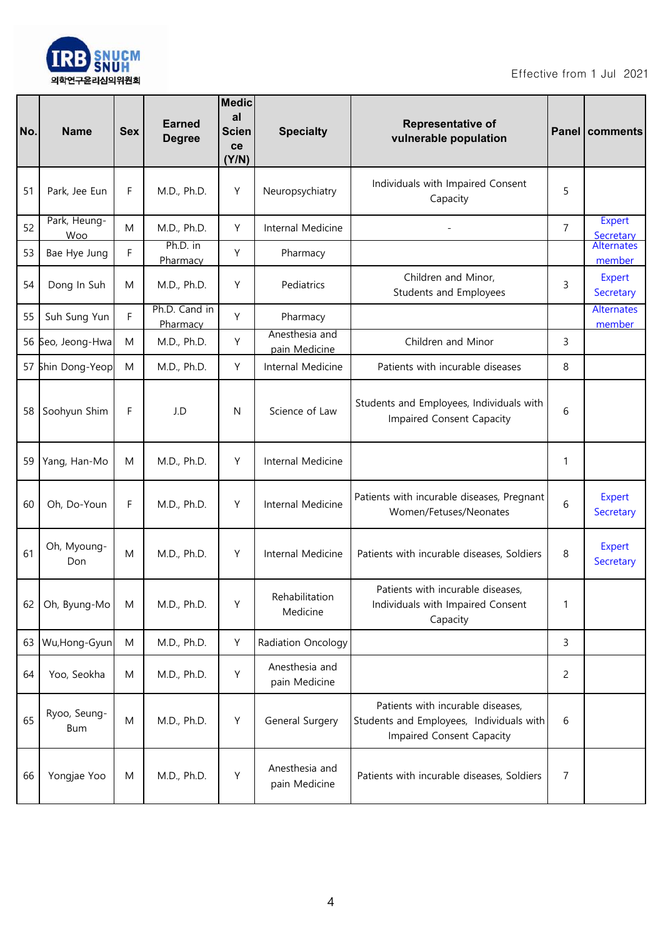

| No. | <b>Name</b>         | <b>Sex</b> | <b>Earned</b><br><b>Degree</b> | <b>Medic</b><br>al<br><b>Scien</b><br>ce<br>(Y/N) | <b>Specialty</b>                | Representative of<br>vulnerable population                                                                 |                | Panel   comments            |
|-----|---------------------|------------|--------------------------------|---------------------------------------------------|---------------------------------|------------------------------------------------------------------------------------------------------------|----------------|-----------------------------|
| 51  | Park, Jee Eun       | F          | M.D., Ph.D.                    | Y                                                 | Neuropsychiatry                 | Individuals with Impaired Consent<br>Capacity                                                              | 5              |                             |
| 52  | Park, Heung-<br>Woo | M          | M.D., Ph.D.                    | Y                                                 | Internal Medicine               |                                                                                                            | $\overline{7}$ | Expert<br>Secretary         |
| 53  | Bae Hye Jung        | F          | Ph.D. in<br>Pharmacy           | Y                                                 | Pharmacy                        |                                                                                                            |                | <b>Alternates</b><br>member |
| 54  | Dong In Suh         | M          | M.D., Ph.D.                    | Y                                                 | Pediatrics                      | Children and Minor,<br>Students and Employees                                                              | 3              | Expert<br>Secretary         |
| 55  | Suh Sung Yun        | F          | Ph.D. Cand in<br>Pharmacy      | Y                                                 | Pharmacy                        |                                                                                                            |                | <b>Alternates</b><br>member |
|     | 56 Seo, Jeong-Hwa   | M          | M.D., Ph.D.                    | Y                                                 | Anesthesia and<br>pain Medicine | Children and Minor                                                                                         | 3              |                             |
|     | 57 Shin Dong-Yeop   | M          | M.D., Ph.D.                    | Y                                                 | Internal Medicine               | Patients with incurable diseases                                                                           | 8              |                             |
| 58  | Soohyun Shim        | F          | J.D                            | N                                                 | Science of Law                  | Students and Employees, Individuals with<br>Impaired Consent Capacity                                      | 6              |                             |
| 59  | Yang, Han-Mo        | M          | M.D., Ph.D.                    | Y                                                 | Internal Medicine               |                                                                                                            | 1              |                             |
| 60  | Oh, Do-Youn         | F          | M.D., Ph.D.                    | Y                                                 | Internal Medicine               | Patients with incurable diseases, Pregnant<br>Women/Fetuses/Neonates                                       | 6              | <b>Expert</b><br>Secretary  |
| 61  | Oh, Myoung-<br>Don  | M          | M.D., Ph.D.                    | Y                                                 | Internal Medicine               | Patients with incurable diseases, Soldiers                                                                 | 8              | Expert<br>Secretary         |
| 62  | Oh, Byung-Mo        | M          | M.D., Ph.D.                    | Υ                                                 | Rehabilitation<br>Medicine      | Patients with incurable diseases,<br>Individuals with Impaired Consent<br>Capacity                         | 1              |                             |
| 63  | Wu, Hong-Gyun       | ${\sf M}$  | M.D., Ph.D.                    | Y                                                 | Radiation Oncology              |                                                                                                            | 3              |                             |
| 64  | Yoo, Seokha         | M          | M.D., Ph.D.                    | Y                                                 | Anesthesia and<br>pain Medicine |                                                                                                            | 2              |                             |
| 65  | Ryoo, Seung-<br>Bum | M          | M.D., Ph.D.                    | Y                                                 | General Surgery                 | Patients with incurable diseases,<br>Students and Employees, Individuals with<br>Impaired Consent Capacity | 6              |                             |
| 66  | Yongjae Yoo         | M          | M.D., Ph.D.                    | Υ                                                 | Anesthesia and<br>pain Medicine | Patients with incurable diseases, Soldiers                                                                 | 7              |                             |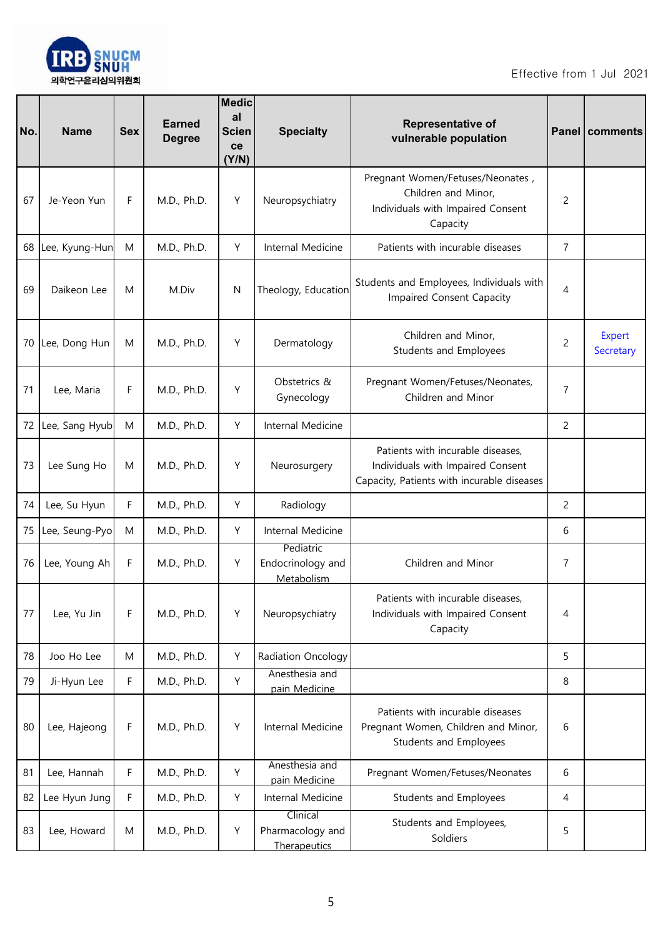

| No. | <b>Name</b>    | <b>Sex</b> | <b>Earned</b><br><b>Degree</b> | <b>Medic</b><br>al<br><b>Scien</b><br>ce<br>(Y/N) | <b>Specialty</b>                             | Representative of<br>vulnerable population                                                                           |                | Panel   comments           |
|-----|----------------|------------|--------------------------------|---------------------------------------------------|----------------------------------------------|----------------------------------------------------------------------------------------------------------------------|----------------|----------------------------|
| 67  | Je-Yeon Yun    | F          | M.D., Ph.D.                    | Y                                                 | Neuropsychiatry                              | Pregnant Women/Fetuses/Neonates,<br>Children and Minor,<br>Individuals with Impaired Consent<br>Capacity             | 2              |                            |
| 68  | Lee, Kyung-Hun | M          | M.D., Ph.D.                    | Y                                                 | Internal Medicine                            | Patients with incurable diseases                                                                                     | $\overline{7}$ |                            |
| 69  | Daikeon Lee    | M          | M.Div                          | N                                                 | Theology, Education                          | Students and Employees, Individuals with<br>Impaired Consent Capacity                                                | 4              |                            |
| 70  | Lee, Dong Hun  | M          | M.D., Ph.D.                    | Y                                                 | Dermatology                                  | Children and Minor,<br>Students and Employees                                                                        | 2              | <b>Expert</b><br>Secretary |
| 71  | Lee, Maria     | F          | M.D., Ph.D.                    | Y                                                 | Obstetrics &<br>Gynecology                   | Pregnant Women/Fetuses/Neonates,<br>Children and Minor                                                               | 7              |                            |
| 72  | Lee, Sang Hyub | M          | M.D., Ph.D.                    | Y                                                 | Internal Medicine                            |                                                                                                                      | 2              |                            |
| 73  | Lee Sung Ho    | M          | M.D., Ph.D.                    | Y                                                 | Neurosurgery                                 | Patients with incurable diseases,<br>Individuals with Impaired Consent<br>Capacity, Patients with incurable diseases |                |                            |
| 74  | Lee, Su Hyun   | F          | M.D., Ph.D.                    | Y                                                 | Radiology                                    |                                                                                                                      | 2              |                            |
| 75  | Lee, Seung-Pyo | M          | M.D., Ph.D.                    | Y                                                 | Internal Medicine                            |                                                                                                                      | 6              |                            |
| 76  | Lee, Young Ah  | F          | M.D., Ph.D.                    | Y                                                 | Pediatric<br>Endocrinology and<br>Metabolism | Children and Minor                                                                                                   | 7              |                            |
| 77  | Lee, Yu Jin    | F          | M.D., Ph.D.                    | Y                                                 | Neuropsychiatry                              | Patients with incurable diseases,<br>Individuals with Impaired Consent<br>Capacity                                   | 4              |                            |
| 78  | Joo Ho Lee     | M          | M.D., Ph.D.                    | Y                                                 | Radiation Oncology                           |                                                                                                                      | 5              |                            |
| 79  | Ji-Hyun Lee    | F          | M.D., Ph.D.                    | Y                                                 | Anesthesia and<br>pain Medicine              |                                                                                                                      | 8              |                            |
| 80  | Lee, Hajeong   | F          | M.D., Ph.D.                    | Y                                                 | Internal Medicine                            | Patients with incurable diseases<br>Pregnant Women, Children and Minor,<br>Students and Employees                    | 6              |                            |
| 81  | Lee, Hannah    | F          | M.D., Ph.D.                    | Y                                                 | Anesthesia and<br>pain Medicine              | Pregnant Women/Fetuses/Neonates                                                                                      | 6              |                            |
| 82  | Lee Hyun Jung  | F          | M.D., Ph.D.                    | Y                                                 | Internal Medicine                            | Students and Employees                                                                                               | 4              |                            |
| 83  | Lee, Howard    | M          | M.D., Ph.D.                    | Υ                                                 | Clinical<br>Pharmacology and<br>Therapeutics | Students and Employees,<br>Soldiers                                                                                  | 5              |                            |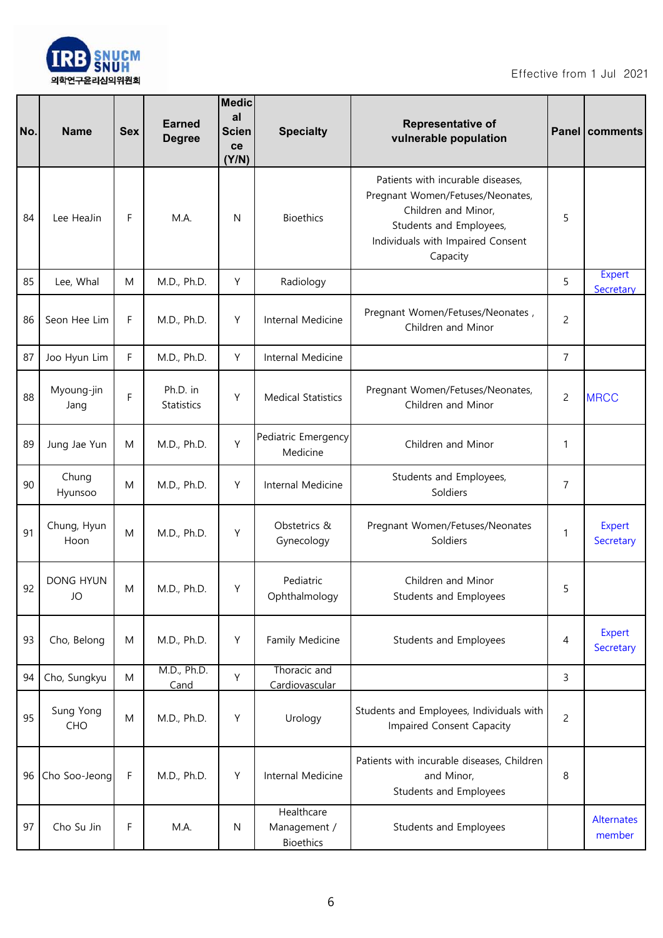

| No. | <b>Name</b>         | <b>Sex</b> | <b>Earned</b><br><b>Degree</b> | <b>Medic</b><br>al<br><b>Scien</b><br>ce<br>(Y/N) | <b>Specialty</b>                               | <b>Representative of</b><br>vulnerable population                                                                                                                        |                | Panel   comments     |
|-----|---------------------|------------|--------------------------------|---------------------------------------------------|------------------------------------------------|--------------------------------------------------------------------------------------------------------------------------------------------------------------------------|----------------|----------------------|
| 84  | Lee HeaJin          | F          | M.A.                           | N                                                 | <b>Bioethics</b>                               | Patients with incurable diseases,<br>Pregnant Women/Fetuses/Neonates,<br>Children and Minor,<br>Students and Employees,<br>Individuals with Impaired Consent<br>Capacity | 5              |                      |
| 85  | Lee, Whal           | M          | M.D., Ph.D.                    | Y                                                 | Radiology                                      |                                                                                                                                                                          | 5              | Expert<br>Secretary  |
| 86  | Seon Hee Lim        | F          | M.D., Ph.D.                    | Υ                                                 | Internal Medicine                              | Pregnant Women/Fetuses/Neonates,<br>Children and Minor                                                                                                                   | $\overline{c}$ |                      |
| 87  | Joo Hyun Lim        | F          | M.D., Ph.D.                    | Y                                                 | Internal Medicine                              |                                                                                                                                                                          | 7              |                      |
| 88  | Myoung-jin<br>Jang  | F          | Ph.D. in<br>Statistics         | Υ                                                 | <b>Medical Statistics</b>                      | Pregnant Women/Fetuses/Neonates,<br>Children and Minor                                                                                                                   | $\overline{c}$ | <b>MRCC</b>          |
| 89  | Jung Jae Yun        | M          | M.D., Ph.D.                    | Y                                                 | Pediatric Emergency<br>Medicine                | Children and Minor                                                                                                                                                       | 1              |                      |
| 90  | Chung<br>Hyunsoo    | M          | M.D., Ph.D.                    | Y                                                 | Internal Medicine                              | Students and Employees,<br>Soldiers                                                                                                                                      | 7              |                      |
| 91  | Chung, Hyun<br>Hoon | ${\sf M}$  | M.D., Ph.D.                    | Y                                                 | Obstetrics &<br>Gynecology                     | Pregnant Women/Fetuses/Neonates<br>Soldiers                                                                                                                              | 1              | Expert<br>Secretary  |
| 92  | DONG HYUN<br>JO     | M          | M.D., Ph.D.                    | Υ                                                 | Pediatric<br>Ophthalmology                     | Children and Minor<br>Students and Employees                                                                                                                             | 5              |                      |
| 93  | Cho, Belong         | M          | M.D., Ph.D.                    | Y                                                 | Family Medicine                                | Students and Employees                                                                                                                                                   | 4              | Expert<br>Secretary  |
| 94  | Cho, Sungkyu        | M          | M.D., Ph.D.<br>Cand            | Y                                                 | Thoracic and<br>Cardiovascular                 |                                                                                                                                                                          | 3              |                      |
| 95  | Sung Yong<br>CHO    | ${\sf M}$  | M.D., Ph.D.                    | Y                                                 | Urology                                        | Students and Employees, Individuals with<br>Impaired Consent Capacity                                                                                                    | $\overline{c}$ |                      |
| 96  | Cho Soo-Jeong       | F          | M.D., Ph.D.                    | Y                                                 | Internal Medicine                              | Patients with incurable diseases, Children<br>and Minor,<br>Students and Employees                                                                                       | 8              |                      |
| 97  | Cho Su Jin          | F          | M.A.                           | ${\sf N}$                                         | Healthcare<br>Management /<br><b>Bioethics</b> | Students and Employees                                                                                                                                                   |                | Alternates<br>member |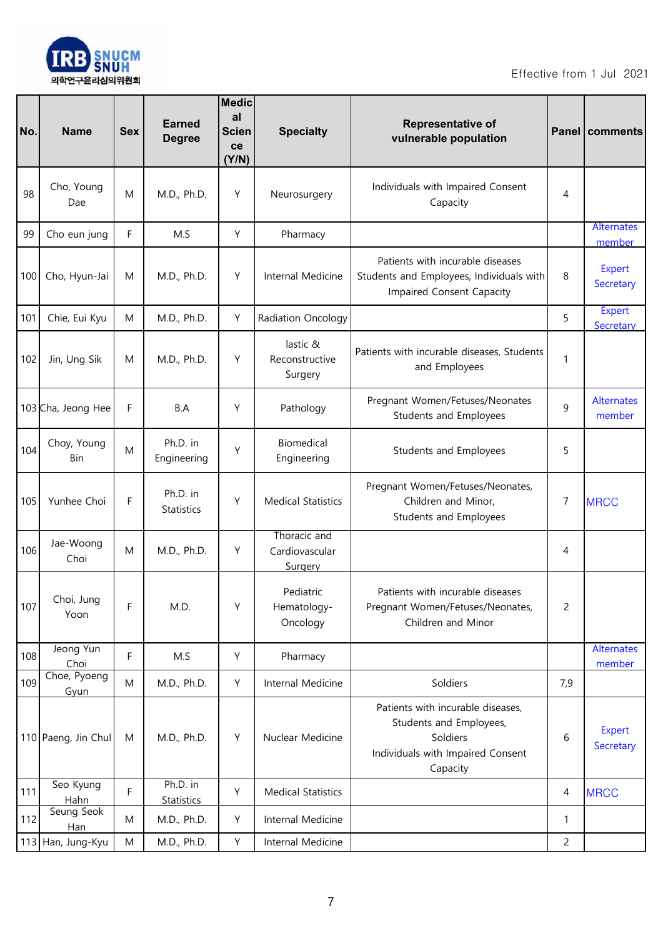

| No. | <b>Name</b>               | <b>Sex</b> | <b>Earned</b><br><b>Degree</b> | <b>Medic</b><br>al<br><b>Scien</b><br>ce<br>(Y/N) | <b>Specialty</b>                          | Representative of<br>vulnerable population                                                                                |                | Panel   comments            |
|-----|---------------------------|------------|--------------------------------|---------------------------------------------------|-------------------------------------------|---------------------------------------------------------------------------------------------------------------------------|----------------|-----------------------------|
| 98  | Cho, Young<br>Dae         | M          | M.D., Ph.D.                    | Υ                                                 | Neurosurgery                              | Individuals with Impaired Consent<br>Capacity                                                                             | 4              |                             |
| 99  | Cho eun jung              | F          | M.S                            | Υ                                                 | Pharmacy                                  |                                                                                                                           |                | Alternates<br>member        |
| 100 | Cho, Hyun-Jai             | M          | M.D., Ph.D.                    | Y                                                 | Internal Medicine                         | Patients with incurable diseases<br>Students and Employees, Individuals with<br>Impaired Consent Capacity                 | 8              | Expert<br>Secretary         |
| 101 | Chie, Eui Kyu             | M          | M.D., Ph.D.                    | Υ                                                 | Radiation Oncology                        |                                                                                                                           | 5              | <b>Expert</b><br>Secretary  |
| 102 | Jin, Ung Sik              | M          | M.D., Ph.D.                    | Y                                                 | lastic &<br>Reconstructive<br>Surgery     | Patients with incurable diseases, Students<br>and Employees                                                               | 1              |                             |
|     | 103 Cha, Jeong Hee        | F          | B.A                            | Υ                                                 | Pathology                                 | Pregnant Women/Fetuses/Neonates<br>Students and Employees                                                                 | 9              | <b>Alternates</b><br>member |
| 104 | Choy, Young<br><b>Bin</b> | ${\sf M}$  | Ph.D. in<br>Engineering        | Υ                                                 | Biomedical<br>Engineering                 | Students and Employees                                                                                                    | 5              |                             |
| 105 | Yunhee Choi               | F          | Ph.D. in<br>Statistics         | Υ                                                 | <b>Medical Statistics</b>                 | Pregnant Women/Fetuses/Neonates,<br>Children and Minor,<br>Students and Employees                                         | 7              | <b>MRCC</b>                 |
| 106 | Jae-Woong<br>Choi         | ${\sf M}$  | M.D., Ph.D.                    | Υ                                                 | Thoracic and<br>Cardiovascular<br>Surgery |                                                                                                                           | 4              |                             |
| 107 | Choi, Jung<br>Yoon        | F          | M.D.                           | Υ                                                 | Pediatric<br>Hematology-<br>Oncology      | Patients with incurable diseases<br>Pregnant Women/Fetuses/Neonates,<br>Children and Minor                                | $\overline{c}$ |                             |
| 108 | Jeong Yun<br>Choi         | F          | M.S                            | Υ                                                 | Pharmacy                                  |                                                                                                                           |                | <b>Alternates</b><br>member |
| 109 | Choe, Pyoeng<br>Gyun      | ${\sf M}$  | M.D., Ph.D.                    | Y                                                 | Internal Medicine                         | Soldiers                                                                                                                  | 7,9            |                             |
|     | 110 Paeng, Jin Chul       | M          | M.D., Ph.D.                    | Y                                                 | Nuclear Medicine                          | Patients with incurable diseases,<br>Students and Employees,<br>Soldiers<br>Individuals with Impaired Consent<br>Capacity | 6              | Expert<br>Secretary         |
| 111 | Seo Kyung<br>Hahn         | F          | Ph.D. in<br>Statistics         | Υ                                                 | <b>Medical Statistics</b>                 |                                                                                                                           | 4              | <b>MRCC</b>                 |
| 112 | Seung Seok<br>Han         | M          | M.D., Ph.D.                    | Υ                                                 | Internal Medicine                         |                                                                                                                           | 1              |                             |
|     | 113 Han, Jung-Kyu         | ${\sf M}$  | M.D., Ph.D.                    | Υ                                                 | Internal Medicine                         |                                                                                                                           | $\overline{c}$ |                             |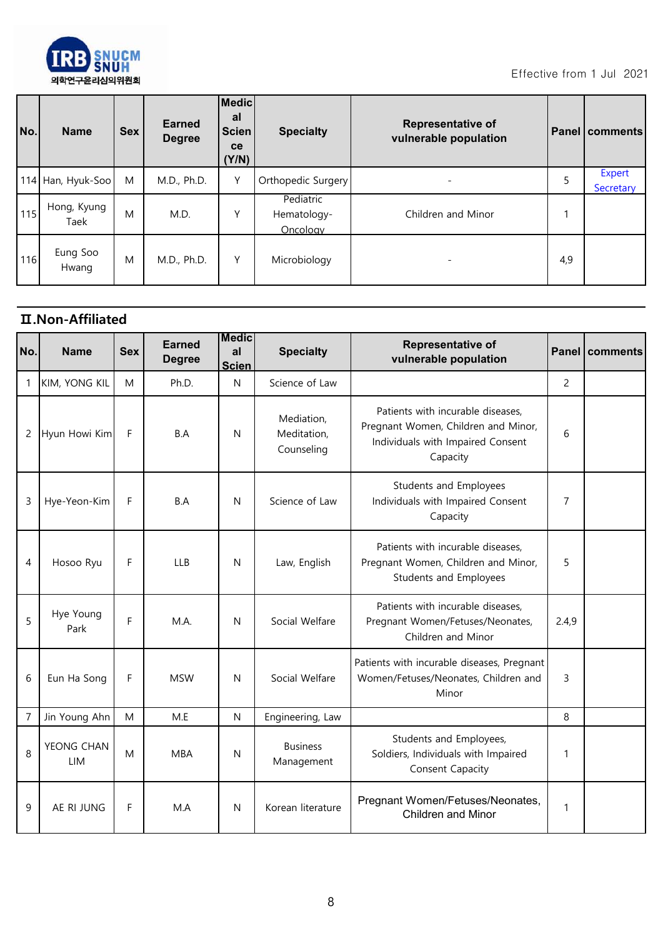

| No.  | <b>Name</b>         | <b>Sex</b> | <b>Earned</b><br><b>Degree</b> | Medic<br>al<br><b>Scien</b><br><b>ce</b><br>(Y/N) | <b>Specialty</b>                     | <b>Representative of</b><br>vulnerable population |     | <b>Panel comments</b> |
|------|---------------------|------------|--------------------------------|---------------------------------------------------|--------------------------------------|---------------------------------------------------|-----|-----------------------|
|      | 114 Han, Hyuk-Soo   | M          | M.D., Ph.D.                    | Υ                                                 | Orthopedic Surgery                   |                                                   | 5   | Expert<br>Secretary   |
| 115  | Hong, Kyung<br>Taek | M          | M.D.                           | Υ                                                 | Pediatric<br>Hematology-<br>Oncology | Children and Minor                                |     |                       |
| 1161 | Eung Soo<br>Hwang   | M          | M.D., Ph.D.                    | Υ                                                 | Microbiology                         |                                                   | 4,9 |                       |

## **Ⅱ.Non-Affiliated**

| No.            | <b>Name</b>          | <b>Sex</b> | <b>Earned</b><br><b>Degree</b> | <b>Medic</b><br>al<br><b>Scien</b> | <b>Specialty</b>                        | Representative of<br>vulnerable population                                                                                |                | Panel   comments |
|----------------|----------------------|------------|--------------------------------|------------------------------------|-----------------------------------------|---------------------------------------------------------------------------------------------------------------------------|----------------|------------------|
| 1              | <b>KIM, YONG KIL</b> | M          | Ph.D.                          | $\mathsf{N}$                       | Science of Law                          |                                                                                                                           | $\overline{c}$ |                  |
| 2              | Hyun Howi Kim        | F          | B.A                            | N                                  | Mediation,<br>Meditation,<br>Counseling | Patients with incurable diseases,<br>Pregnant Women, Children and Minor,<br>Individuals with Impaired Consent<br>Capacity | 6              |                  |
| 3              | Hye-Yeon-Kim         | F          | B.A                            | N                                  | Science of Law                          | Students and Employees<br>Individuals with Impaired Consent<br>Capacity                                                   | 7              |                  |
| 4              | Hosoo Ryu            | F          | <b>LLB</b>                     | $\mathsf{N}$                       | Law, English                            | Patients with incurable diseases,<br>Pregnant Women, Children and Minor,<br>Students and Employees                        | 5              |                  |
| 5              | Hye Young<br>Park    | F          | M.A.                           | N                                  | Social Welfare                          | Patients with incurable diseases,<br>Pregnant Women/Fetuses/Neonates,<br>Children and Minor                               | 2.4,9          |                  |
| 6              | Eun Ha Song          | F          | <b>MSW</b>                     | N                                  | Social Welfare                          | Patients with incurable diseases, Pregnant<br>Women/Fetuses/Neonates, Children and<br>Minor                               | 3              |                  |
| $\overline{7}$ | Jin Young Ahn        | M          | M.E                            | $\mathsf{N}$                       | Engineering, Law                        |                                                                                                                           | 8              |                  |
| 8              | YEONG CHAN<br>LIM    | M          | <b>MBA</b>                     | $\mathsf{N}$                       | <b>Business</b><br>Management           | Students and Employees,<br>Soldiers, Individuals with Impaired<br>Consent Capacity                                        | 1              |                  |
| 9              | AE RI JUNG           | F          | MA                             | N                                  | Korean literature                       | Pregnant Women/Fetuses/Neonates,<br><b>Children and Minor</b>                                                             | 1              |                  |